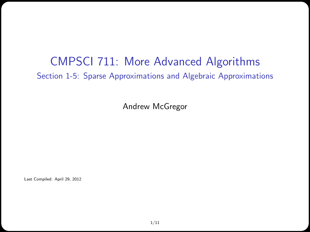#### CMPSCI 711: More Advanced Algorithms Section 1-5: Sparse Approximations and Algebraic Approximations

Andrew McGregor

Last Compiled: April 29, 2012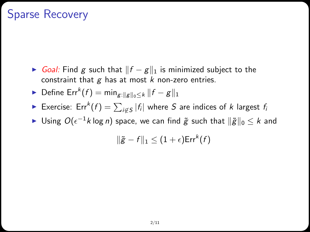# Sparse Recovery

 $\triangleright$  Goal: Find g such that  $||f - g||_1$  is minimized subject to the constraint that  $g$  has at most  $k$  non-zero entries.

$$
\blacktriangleright
$$
 Define Err<sup>k</sup> $(f)$  = min<sub>g:||g||\_0 \leq k</sub>  $||f - g||_1$ 

- ► Exercise: Err ${}^k(f)=\sum_{i\not\in S}|f_i|$  where  $S$  are indices of  $k$  largest  $f_i$
- ► Using  $O(\epsilon^{-1} k \log n)$  space, we can find  $\widetilde{g}$  such that  $\|\widetilde{g}\|_0 \leq k$  and

$$
\|\tilde{g} - f\|_1 \leq (1 + \epsilon) \mathsf{Err}^k(f)
$$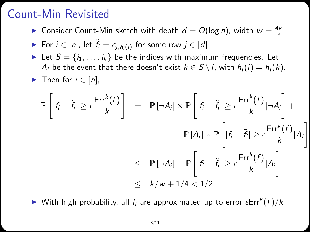## Count-Min Revisited

 $\blacktriangleright$  Consider Count-Min sketch with depth  $d = O(\log n)$ , width  $w = \frac{4k}{\epsilon}$ 

• For 
$$
i \in [n]
$$
, let  $\tilde{f}_i = c_{j,h_j(i)}$  for some row  $j \in [d]$ .

- Exect Let  $S = \{i_1, \ldots, i_k\}$  be the indices with maximum frequencies. Let A<sub>i</sub> be the event that there doesn't exist  $k \in S \setminus i$ , with  $h_i(i) = h_i(k)$ .
- $\triangleright$  Then for  $i \in [n]$ ,

$$
\mathbb{P}\left[|f_i - \tilde{f}_i| \ge \epsilon \frac{\text{Err}^k(f)}{k}\right] = \mathbb{P}\left[\neg A_i\right] \times \mathbb{P}\left[|f_i - \tilde{f}_i| \ge \epsilon \frac{\text{Err}^k(f)}{k}|\neg A_i\right] +
$$
  

$$
\mathbb{P}\left[A_i\right] \times \mathbb{P}\left[|f_i - \tilde{f}_i| \ge \epsilon \frac{\text{Err}^k(f)}{k}|A_i\right]
$$
  

$$
\le \mathbb{P}\left[\neg A_i\right] + \mathbb{P}\left[|f_i - \tilde{f}_i| \ge \epsilon \frac{\text{Err}^k(f)}{k}|A_i\right]
$$
  

$$
\le k/w + 1/4 < 1/2
$$

 $\blacktriangleright$  With high probability, all  $f_i$  are approximated up to error  $\epsilon \mathsf{Err}^k(f)/k$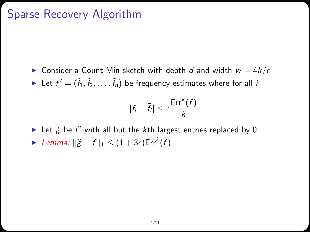# Sparse Recovery Algorithm

**Consider a Count-Min sketch with depth d and width**  $w = 4k/\epsilon$  $\blacktriangleright$  Let  $f' = (\tilde{f}_1, \tilde{f}_2, \ldots, \tilde{f}_n)$  be frequency estimates where for all  $i$ 

$$
|f_i - \tilde{f}_i| \le \epsilon \frac{\mathsf{Err}^k(f)}{k}
$$

Let  $\tilde{g}$  be  $f'$  with all but the kth largest entries replaced by 0. ► Lemma:  $\|\tilde{g} - f\|_1 \leq (1 + 3\epsilon) \mathsf{Err}^k(f)$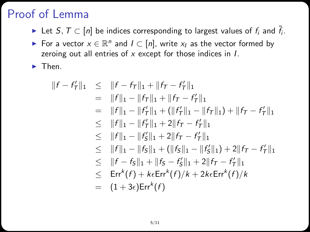# Proof of Lemma

- ► Let  $S, T \subset [n]$  be indices corresponding to largest values of  $f_i$  and  $\tilde{f}_i$ .
- For a vector  $x \in \mathbb{R}^n$  and  $I \subset [n]$ , write  $x_I$  as the vector formed by zeroing out all entries of  $x$  except for those indices in  $I$ .

 $\blacktriangleright$  Then.

$$
||f - f'_T||_1 \le ||f - f_T||_1 + ||f_T - f'_T||_1
$$
  
\n= ||f||\_1 - ||f\_T||\_1 + ||f\_T - f'\_T||\_1  
\n= ||f||\_1 - ||f'\_T||\_1 + (||f'\_T||\_1 - ||f\_T||\_1) + ||f\_T - f'\_T||\_1  
\n\le ||f||\_1 - ||f'\_T||\_1 + 2||f\_T - f'\_T||\_1  
\n\le ||f||\_1 - ||f'\_S||\_1 + 2||f\_T - f'\_T||\_1  
\n\le ||f||\_1 - ||f\_S||\_1 + (||f\_S||\_1 - ||f'\_S||\_1) + 2||f\_T - f'\_T||\_1  
\n\le ||f - f\_S||\_1 + ||f\_S - f'\_S||\_1 + 2||f\_T - f'\_T||\_1  
\n\le Err<sup>k</sup>(f) + keErr<sup>k</sup>(f)/k + 2keErr<sup>k</sup>(f)/k  
\n= (1 + 3e)Err<sup>k</sup>(f)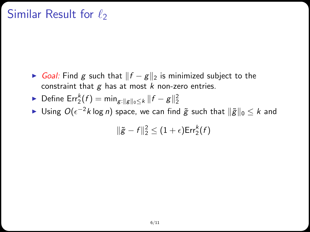## Similar Result for  $\ell_2$

► Goal: Find g such that  $||f - g||_2$  is minimized subject to the constraint that  $g$  has at most  $k$  non-zero entries.

• Define 
$$
\text{Err}_2^k(f) = \min_{g: ||g||_0 \le k} ||f - g||_2^2
$$

► Using  $O(\epsilon^{-2} k \log n)$  space, we can find  $\widetilde{g}$  such that  $\|\widetilde{g}\|_0 \leq k$  and

$$
\|\tilde{g}-f\|_2^2\leq (1+\epsilon)\mathsf{Err}_2^k(f)
$$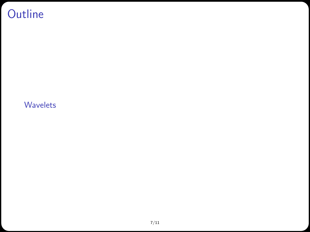# **Outline**

#### <span id="page-6-0"></span>[Wavelets](#page-6-0)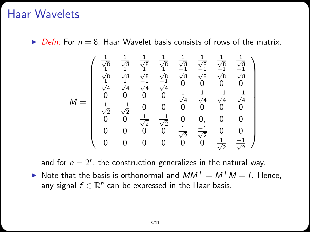#### Haar Wavelets

 $\triangleright$  Defn: For  $n = 8$ , Haar Wavelet basis consists of rows of the matrix.

$$
\mathit{M} = \left(\begin{array}{cccccc} \frac{1}{\sqrt{8}} & \frac{1}{\sqrt{8}} & \frac{1}{\sqrt{8}} & \frac{1}{\sqrt{8}} & \frac{1}{\sqrt{8}} & \frac{1}{\sqrt{8}} & \frac{1}{\sqrt{8}} \\ \frac{1}{\sqrt{8}} & \frac{1}{\sqrt{8}} & \frac{1}{\sqrt{8}} & \frac{1}{\sqrt{8}} & \frac{-1}{\sqrt{8}} & \frac{-1}{\sqrt{8}} & \frac{-1}{\sqrt{8}} \\ \frac{1}{\sqrt{4}} & \frac{1}{\sqrt{4}} & \frac{-1}{\sqrt{4}} & \frac{-1}{\sqrt{4}} & 0 & 0 & 0 & 0 \\ 0 & 0 & 0 & 0 & \frac{1}{\sqrt{4}} & \frac{1}{\sqrt{4}} & \frac{-1}{\sqrt{4}} & \frac{-1}{\sqrt{4}} \\ \frac{1}{\sqrt{2}} & \frac{-1}{\sqrt{2}} & 0 & 0 & 0 & 0 & 0 \\ 0 & 0 & \frac{1}{\sqrt{2}} & \frac{-1}{\sqrt{2}} & 0 & 0, & 0 & 0 \\ 0 & 0 & 0 & 0 & \frac{1}{\sqrt{2}} & \frac{-1}{\sqrt{2}} & 0 & 0 \\ 0 & 0 & 0 & 0 & 0 & \frac{1}{\sqrt{2}} & \frac{-1}{\sqrt{2}} & 0 & 0 \\ 0 & 0 & 0 & 0 & 0 & 0 & \frac{1}{\sqrt{2}} & \frac{-1}{\sqrt{2}} \end{array}\right)
$$

and for  $n = 2^r$ , the construction generalizes in the natural way.  $\triangleright$  Note that the basis is orthonormal and  $MM^T = M^T M = I$ . Hence, any signal  $f \in \mathbb{R}^n$  can be expressed in the Haar basis.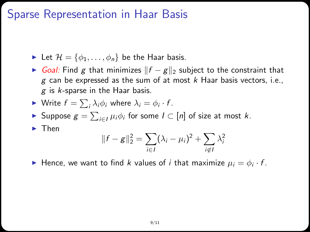#### Sparse Representation in Haar Basis

 $\blacktriangleright$  Let  $\mathcal{H} = \{\phi_1, \ldots, \phi_n\}$  be the Haar basis.

► Goal: Find g that minimizes  $||f - g||_2$  subject to the constraint that  $g$  can be expressed as the sum of at most  $k$  Haar basis vectors, i.e.,  $g$  is  $k$ -sparse in the Haar basis.

$$
\blacktriangleright \text{ Write } f = \sum_i \lambda_i \phi_i \text{ where } \lambda_i = \phi_i \cdot f.
$$

Suppose 
$$
g = \sum_{i \in I} \mu_i \phi_i
$$
 for some  $I \subset [n]$  of size at most k.

 $\blacktriangleright$  Then

$$
||f - g||_2^2 = \sum_{i \in I} (\lambda_i - \mu_i)^2 + \sum_{i \notin I} \lambda_i^2
$$

Hence, we want to find k values of i that maximize  $\mu_i = \phi_i \cdot f$ .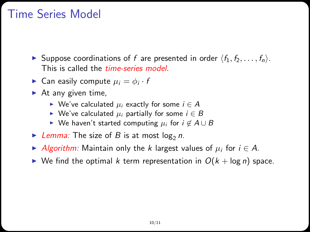# Time Series Model

- In Suppose coordinations of f are presented in order  $\langle f_1, f_2, \ldots, f_n \rangle$ . This is called the *time-series model*.
- **Can easily compute**  $\mu_i = \phi_i \cdot t$
- $\blacktriangleright$  At any given time,
	- ► We've calculated  $\mu_i$  exactly for some  $i \in A$
	- ► We've calculated  $\mu_i$  partially for some  $i \in B$
	- $\triangleright$  We haven't started computing  $\mu_i$  for  $i \notin A \cup B$
- Elemma: The size of B is at most  $log_2 n$ .
- Algorithm: Maintain only the k largest values of  $\mu_i$  for  $i \in A$ .
- $\triangleright$  We find the optimal k term representation in  $O(k + \log n)$  space.